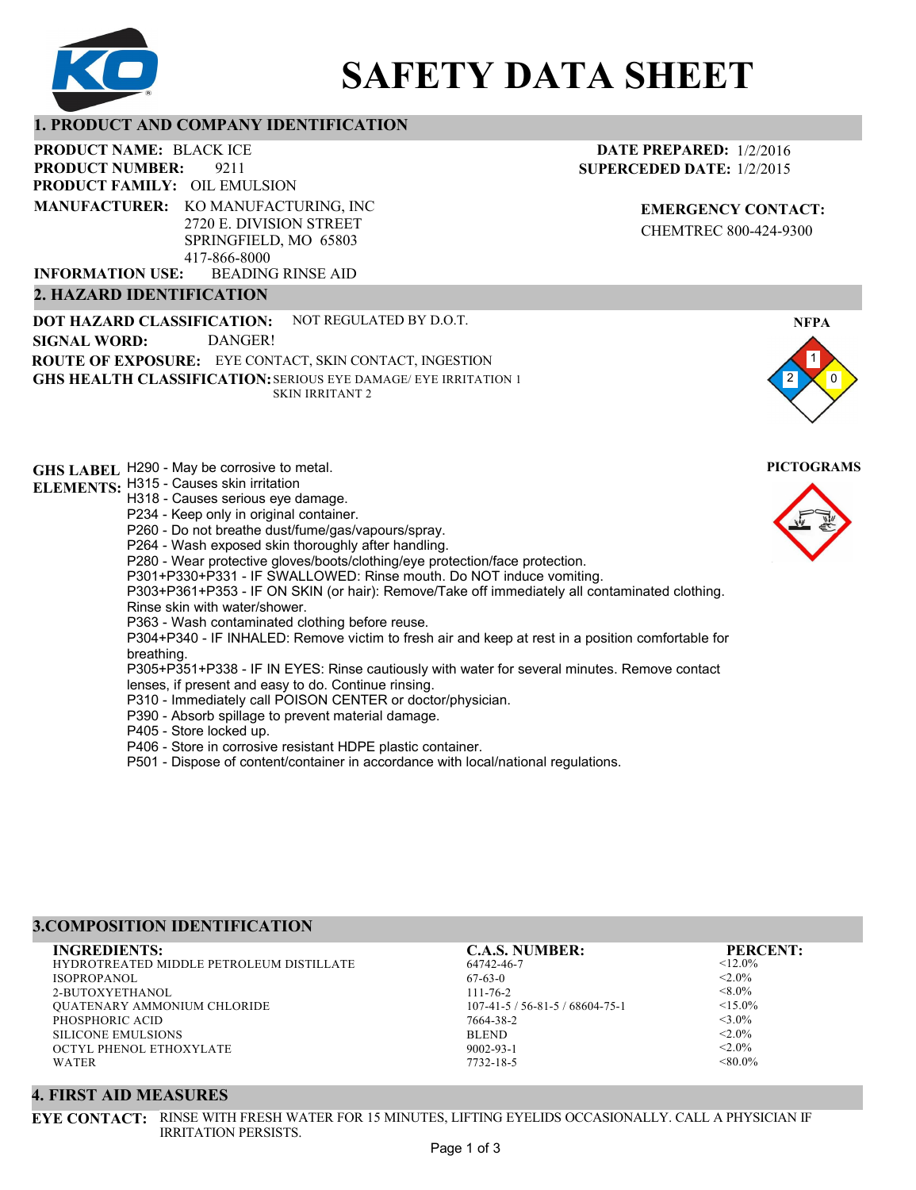

# **SAFETY DATA SHEET**

### **1. PRODUCT AND COMPANY IDENTIFICATION**

9211 **PRODUCT NAME: BLACK ICE PRODUCT FAMILY: OIL EMULSION** BEADING RINSE AID **PRODUCT NUMBER: 2. HAZARD IDENTIFICATION MANUFACTURER:** KO MANUFACTURING, INC 2720 E. DIVISION STREET SPRINGFIELD, MO 65803 417-866-8000 **INFORMATION USE:**

**DOT HAZARD CLASSIFICATION: GHS HEALTH CLASSIFICATION:** SERIOUS EYE DAMAGE/ EYE IRRITATION 1 **ROUTE OF EXPOSURE:** EYE CONTACT, SKIN CONTACT, INGESTION NOT REGULATED BY D.O.T. SKIN IRRITANT 2 **SIGNAL WORD:** DANGER!

**GHS LABEL**  H290 - May be corrosive to metal. **PICTOGRAMS ELEMENTS:** H315 - Causes skin irritation H318 - Causes serious eye damage. P234 - Keep only in original container. P260 - Do not breathe dust/fume/gas/vapours/spray. P264 - Wash exposed skin thoroughly after handling. P280 - Wear protective gloves/boots/clothing/eye protection/face protection. P301+P330+P331 - IF SWALLOWED: Rinse mouth. Do NOT induce vomiting. P303+P361+P353 - IF ON SKIN (or hair): Remove/Take off immediately all contaminated clothing. Rinse skin with water/shower. P363 - Wash contaminated clothing before reuse. P304+P340 - IF INHALED: Remove victim to fresh air and keep at rest in a position comfortable for breathing. P305+P351+P338 - IF IN EYES: Rinse cautiously with water for several minutes. Remove contact lenses, if present and easy to do. Continue rinsing. P310 - Immediately call POISON CENTER or doctor/physician. P390 - Absorb spillage to prevent material damage. P405 - Store locked up. P406 - Store in corrosive resistant HDPE plastic container.

P501 - Dispose of content/container in accordance with local/national regulations.

# **3.COMPOSITION IDENTIFICATION**

HYDROTREATED MIDDLE PETROLEUM DISTILLATE ISOPROPANOL 2-BUTOXYETHANOL QUATENARY AMMONIUM CHLORIDE PHOSPHORIC ACID SILICONE EMULSIONS OCTYL PHENOL ETHOXYLATE WATER **INGREDIENTS: C.A.S. NUMBER: PERCENT:**

64742-46-7 67-63-0 111-76-2 107-41-5 / 56-81-5 / 68604-75-1 7664-38-2 BLEND 9002-93-1 7732-18-5

 $< 12.0%$  $<$  2.0%  $<8.0\%$  $<$ 15.0%  $<$ 3.0%  $< 2.0\%$  $< 2.0\%$  $< 80.0\%$ 

# **4. FIRST AID MEASURES**

**EYE CONTACT:** RINSE WITH FRESH WATER FOR 15 MINUTES, LIFTING EYELIDS OCCASIONALLY. CALL A PHYSICIAN IF IRRITATION PERSISTS.

**EMERGENCY CONTACT:** CHEMTREC 800-424-9300

**DATE PREPARED:** 1/2/2016 **SUPERCEDED DATE:** 1/2/2015

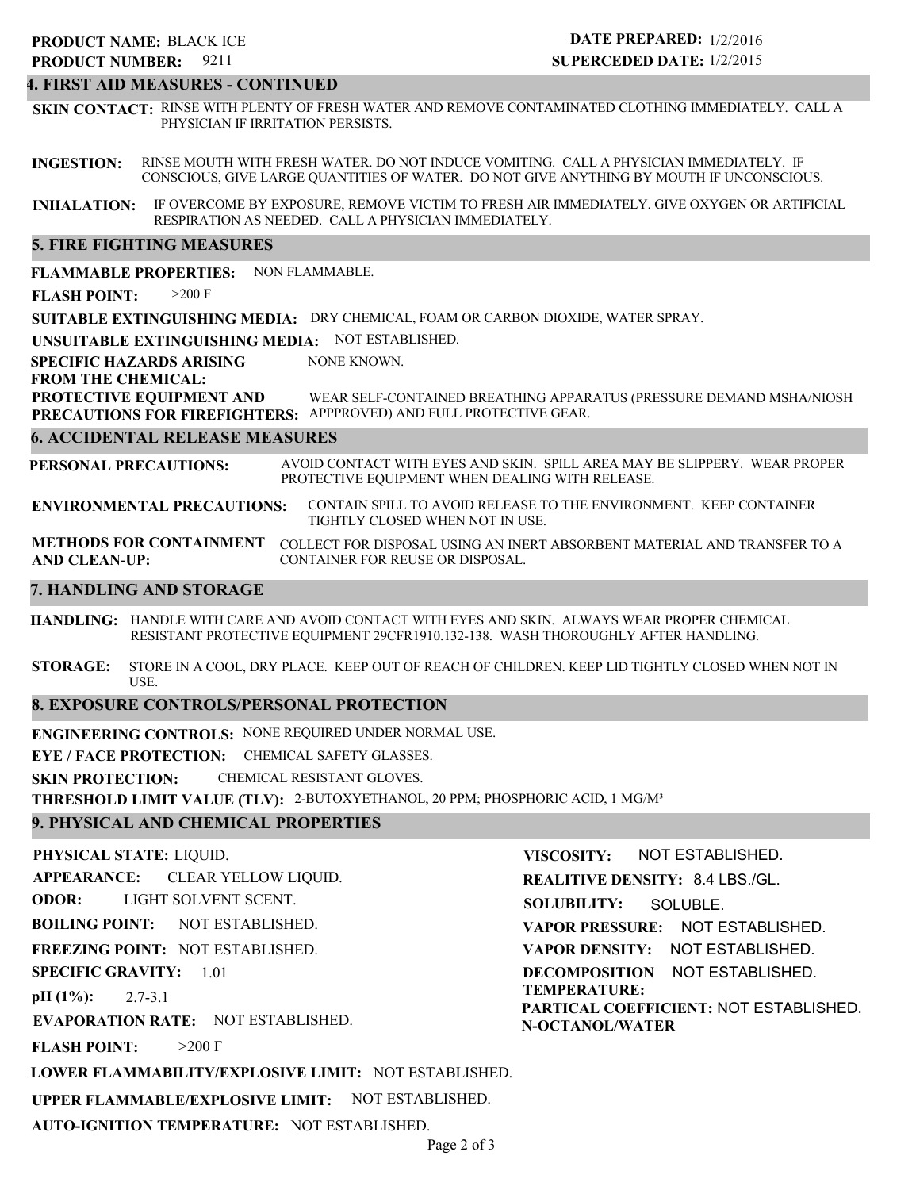# 9211 **PRODUCT NUMBER: PRODUCT NAME: BLACK ICE**

# **DATE PREPARED:** 1/2/2016 **SUPERCEDED DATE:** 1/2/2015

#### **4. FIRST AID MEASURES - CONTINUED**

**SKIN CONTACT:** RINSE WITH PLENTY OF FRESH WATER AND REMOVE CONTAMINATED CLOTHING IMMEDIATELY. CALL A PHYSICIAN IF IRRITATION PERSISTS.

**INGESTION:** RINSE MOUTH WITH FRESH WATER. DO NOT INDUCE VOMITING. CALL A PHYSICIAN IMMEDIATELY. IF CONSCIOUS, GIVE LARGE QUANTITIES OF WATER. DO NOT GIVE ANYTHING BY MOUTH IF UNCONSCIOUS.

**INHALATION:** IF OVERCOME BY EXPOSURE, REMOVE VICTIM TO FRESH AIR IMMEDIATELY. GIVE OXYGEN OR ARTIFICIAL RESPIRATION AS NEEDED. CALL A PHYSICIAN IMMEDIATELY.

#### **5. FIRE FIGHTING MEASURES**

**FLAMMABLE PROPERTIES:** NON FLAMMABLE.

**FLASH POINT:** >200 F

**SUITABLE EXTINGUISHING MEDIA:** DRY CHEMICAL, FOAM OR CARBON DIOXIDE, WATER SPRAY.

**UNSUITABLE EXTINGUISHING MEDIA:** NOT ESTABLISHED.

**SPECIFIC HAZARDS ARISING** NONE KNOWN.

**FROM THE CHEMICAL:**

**PROTECTIVE EQUIPMENT AND PRECAUTIONS FOR FIREFIGHTERS:** APPPROVED) AND FULL PROTECTIVE GEAR. WEAR SELF-CONTAINED BREATHING APPARATUS (PRESSURE DEMAND MSHA/NIOSH

#### **6. ACCIDENTAL RELEASE MEASURES**

**PERSONAL PRECAUTIONS:** AVOID CONTACT WITH EYES AND SKIN. SPILL AREA MAY BE SLIPPERY. WEAR PROPER PROTECTIVE EQUIPMENT WHEN DEALING WITH RELEASE.

**ENVIRONMENTAL PRECAUTIONS:** CONTAIN SPILL TO AVOID RELEASE TO THE ENVIRONMENT. KEEP CONTAINER TIGHTLY CLOSED WHEN NOT IN USE.

**METHODS FOR CONTAINMENT** COLLECT FOR DISPOSAL USING AN INERT ABSORBENT MATERIAL AND TRANSFER TO A **AND CLEAN-UP:** CONTAINER FOR REUSE OR DISPOSAL.

#### **7. HANDLING AND STORAGE**

**HANDLING:** HANDLE WITH CARE AND AVOID CONTACT WITH EYES AND SKIN. ALWAYS WEAR PROPER CHEMICAL RESISTANT PROTECTIVE EQUIPMENT 29CFR1910.132-138. WASH THOROUGHLY AFTER HANDLING.

**STORAGE:** STORE IN A COOL, DRY PLACE. KEEP OUT OF REACH OF CHILDREN. KEEP LID TIGHTLY CLOSED WHEN NOT IN USE.

#### **8. EXPOSURE CONTROLS/PERSONAL PROTECTION**

**ENGINEERING CONTROLS:** NONE REQUIRED UNDER NORMAL USE.

**EYE / FACE PROTECTION:** CHEMICAL SAFETY GLASSES.

**SKIN PROTECTION:** CHEMICAL RESISTANT GLOVES.

**THRESHOLD LIMIT VALUE (TLV):** 2-BUTOXYETHANOL, 20 PPM; PHOSPHORIC ACID, 1 MG/M³

#### **9. PHYSICAL AND CHEMICAL PROPERTIES**

**PHYSICAL STATE:** LIQUID. **APPEARANCE: ODOR: BOILING POINT: FREEZING POINT:** NOT ESTABLISHED. **SPECIFIC GRAVITY:** 1.01 **pH (1%): EVAPORATION RATE:** NOT ESTABLISHED. **FLASH POINT: LOWER FLAMMABILITY/EXPLOSIVE LIMIT:** NOT ESTABLISHED. NOT ESTABLISHED. 2.7-3.1  $>200$  F CLEAR YELLOW LIQUID. LIGHT SOLVENT SCENT. **VISCOSITY: REALITIVE DENSITY:** 8.4 LBS./GL. **SOLUBILITY: VAPOR PRESSURE:** NOT ESTABLISHED. **VAPOR DENSITY:** NOT ESTABLISHED. **DECOMPOSITION** NOT ESTABLISHED. **TEMPERATURE: PARTICAL COEFFICIENT:** NOT ESTABLISHED. **N-OCTANOL/WATER** NOT ESTABLISHED. SOLUBLE.

**UPPER FLAMMABLE/EXPLOSIVE LIMIT:** NOT ESTABLISHED.

**AUTO-IGNITION TEMPERATURE:** NOT ESTABLISHED.